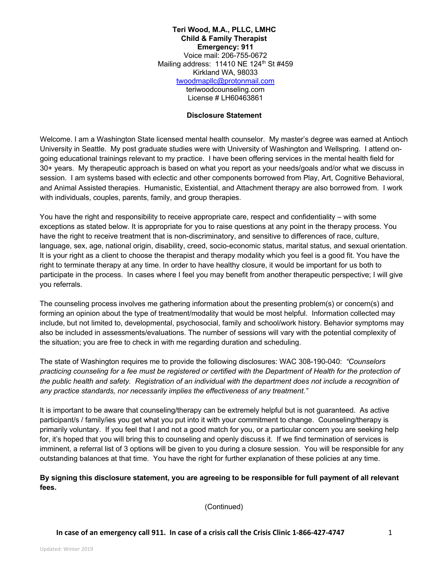**Teri Wood, M.A., PLLC, LMHC Child & Family Therapist Emergency: 911** Voice mail: 206-755-0672 Mailing address: 11410 NE 124<sup>th</sup> St #459 Kirkland WA, 98033 twoodmapllc@protonmail.com teriwoodcounseling.com License # LH60463861

#### **Disclosure Statement**

Welcome. I am a Washington State licensed mental health counselor. My master's degree was earned at Antioch University in Seattle. My post graduate studies were with University of Washington and Wellspring. I attend ongoing educational trainings relevant to my practice. I have been offering services in the mental health field for 30+ years. My therapeutic approach is based on what you report as your needs/goals and/or what we discuss in session. I am systems based with eclectic and other components borrowed from Play, Art, Cognitive Behavioral, and Animal Assisted therapies. Humanistic, Existential, and Attachment therapy are also borrowed from. I work with individuals, couples, parents, family, and group therapies.

You have the right and responsibility to receive appropriate care, respect and confidentiality – with some exceptions as stated below. It is appropriate for you to raise questions at any point in the therapy process. You have the right to receive treatment that is non-discriminatory, and sensitive to differences of race, culture, language, sex, age, national origin, disability, creed, socio-economic status, marital status, and sexual orientation. It is your right as a client to choose the therapist and therapy modality which you feel is a good fit. You have the right to terminate therapy at any time. In order to have healthy closure, it would be important for us both to participate in the process. In cases where I feel you may benefit from another therapeutic perspective; I will give you referrals.

The counseling process involves me gathering information about the presenting problem(s) or concern(s) and forming an opinion about the type of treatment/modality that would be most helpful. Information collected may include, but not limited to, developmental, psychosocial, family and school/work history. Behavior symptoms may also be included in assessments/evaluations. The number of sessions will vary with the potential complexity of the situation; you are free to check in with me regarding duration and scheduling.

The state of Washington requires me to provide the following disclosures: WAC 308-190-040: *"Counselors*  practicing counseling for a fee must be registered or certified with the Department of Health for the protection of the public health and safety. Registration of an individual with the department does not include a recognition of *any practice standards, nor necessarily implies the effectiveness of any treatment."* 

It is important to be aware that counseling/therapy can be extremely helpful but is not guaranteed. As active participant/s / family/ies you get what you put into it with your commitment to change. Counseling/therapy is primarily voluntary. If you feel that I and not a good match for you, or a particular concern you are seeking help for, it's hoped that you will bring this to counseling and openly discuss it. If we find termination of services is imminent, a referral list of 3 options will be given to you during a closure session. You will be responsible for any outstanding balances at that time. You have the right for further explanation of these policies at any time.

## **By signing this disclosure statement, you are agreeing to be responsible for full payment of all relevant fees.**

(Continued)

**In case of an emergency call 911. In case of a crisis call the Crisis Clinic 1-866-427-4747** 1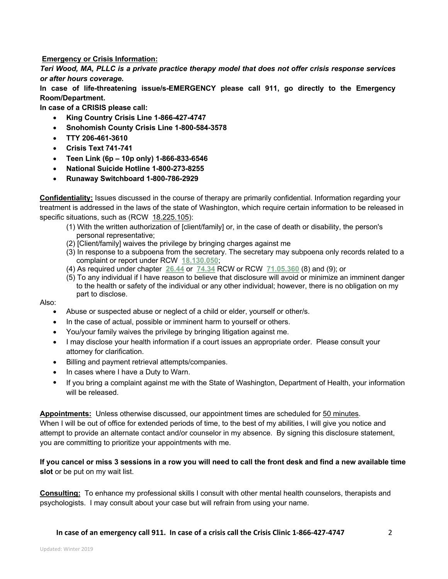**Emergency or Crisis Information:**

*Teri Wood, MA, PLLC is a private practice therapy model that does not offer crisis response services or after hours coverage***.** 

**In case of life-threatening issue/s-EMERGENCY please call 911, go directly to the Emergency Room/Department.** 

**In case of a CRISIS please call:**

- **King Country Crisis Line 1-866-427-4747**
- **Snohomish County Crisis Line 1-800-584-3578**
- **TTY 206-461-3610**
- **Crisis Text 741-741**
- **Teen Link (6p – 10p only) 1-866-833-6546**
- **National Suicide Hotline 1-800-273-8255**
- **Runaway Switchboard 1-800-786-2929**

**Confidentiality:** Issues discussed in the course of therapy are primarily confidential. Information regarding your treatment is addressed in the laws of the state of Washington, which require certain information to be released in specific situations, such as (RCW 18.225.105):

- (1) With the written authorization of [client/family] or, in the case of death or disability, the person's personal representative;
- (2) [Client/family] waives the privilege by bringing charges against me
- (3) In response to a subpoena from the secretary. The secretary may subpoena only records related to a complaint or report under RCW **18.130.050**;
- (4) As required under chapter **26.44** or **74.34** RCW or RCW **71.05.360** (8) and (9); or
- (5) To any individual if I have reason to believe that disclosure will avoid or minimize an imminent danger to the health or safety of the individual or any other individual; however, there is no obligation on my part to disclose.

Also:

- Abuse or suspected abuse or neglect of a child or elder, yourself or other/s.
- In the case of actual, possible or imminent harm to yourself or others.
- You/your family waives the privilege by bringing litigation against me.
- I may disclose your health information if a court issues an appropriate order. Please consult your attorney for clarification.
- Billing and payment retrieval attempts/companies.
- In cases where I have a Duty to Warn.
- If you bring a complaint against me with the State of Washington, Department of Health, your information will be released.

**Appointments:** Unless otherwise discussed, our appointment times are scheduled for 50 minutes. When I will be out of office for extended periods of time, to the best of my abilities, I will give you notice and attempt to provide an alternate contact and/or counselor in my absence. By signing this disclosure statement, you are committing to prioritize your appointments with me.

**If you cancel or miss 3 sessions in a row you will need to call the front desk and find a new available time slot** or be put on my wait list.

**Consulting:** To enhance my professional skills I consult with other mental health counselors, therapists and psychologists. I may consult about your case but will refrain from using your name.

**In case of an emergency call 911. In case of a crisis call the Crisis Clinic 1-866-427-4747** 2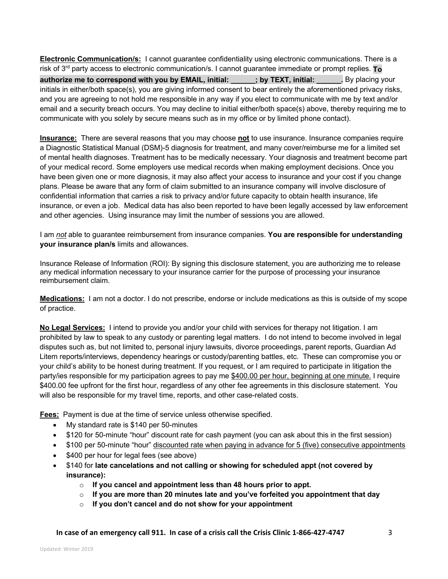**Electronic Communication/s:** I cannot guarantee confidentiality using electronic communications. There is a risk of 3rd party access to electronic communication/s. I cannot guarantee immediate or prompt replies. **To authorize me to correspond with you by EMAIL, initial: \_\_\_\_\_\_; by TEXT, initial: Letthere in By placing your** initials in either/both space(s), you are giving informed consent to bear entirely the aforementioned privacy risks, and you are agreeing to not hold me responsible in any way if you elect to communicate with me by text and/or email and a security breach occurs. You may decline to initial either/both space(s) above, thereby requiring me to communicate with you solely by secure means such as in my office or by limited phone contact).

**Insurance:** There are several reasons that you may choose **not** to use insurance. Insurance companies require a Diagnostic Statistical Manual (DSM)-5 diagnosis for treatment, and many cover/reimburse me for a limited set of mental health diagnoses. Treatment has to be medically necessary. Your diagnosis and treatment become part of your medical record. Some employers use medical records when making employment decisions. Once you have been given one or more diagnosis, it may also affect your access to insurance and your cost if you change plans. Please be aware that any form of claim submitted to an insurance company will involve disclosure of confidential information that carries a risk to privacy and/or future capacity to obtain health insurance, life insurance, or even a job. Medical data has also been reported to have been legally accessed by law enforcement and other agencies. Using insurance may limit the number of sessions you are allowed.

I am *not* able to guarantee reimbursement from insurance companies. **You are responsible for understanding your insurance plan/s** limits and allowances.

Insurance Release of Information (ROI): By signing this disclosure statement, you are authorizing me to release any medical information necessary to your insurance carrier for the purpose of processing your insurance reimbursement claim.

**Medications:** I am not a doctor. I do not prescribe, endorse or include medications as this is outside of my scope of practice.

**No Legal Services:** I intend to provide you and/or your child with services for therapy not litigation. I am prohibited by law to speak to any custody or parenting legal matters. I do not intend to become involved in legal disputes such as, but not limited to, personal injury lawsuits, divorce proceedings, parent reports, Guardian Ad Litem reports/interviews, dependency hearings or custody/parenting battles, etc. These can compromise you or your child's ability to be honest during treatment. If you request, or I am required to participate in litigation the party/ies responsible for my participation agrees to pay me \$400.00 per hour, beginning at one minute. I require \$400.00 fee upfront for the first hour, regardless of any other fee agreements in this disclosure statement. You will also be responsible for my travel time, reports, and other case-related costs.

**Fees:** Payment is due at the time of service unless otherwise specified.

- My standard rate is \$140 per 50-minutes
- \$120 for 50-minute "hour" discount rate for cash payment (you can ask about this in the first session)
- \$100 per 50-minute "hour" discounted rate when paying in advance for 5 (five) consecutive appointments
- \$400 per hour for legal fees (see above)
- \$140 for **late cancelations and not calling or showing for scheduled appt (not covered by insurance):**
	- o **If you cancel and appointment less than 48 hours prior to appt.**
	- o **If you are more than 20 minutes late and you've forfeited you appointment that day**
	- o **If you don't cancel and do not show for your appointment**

**In case of an emergency call 911. In case of a crisis call the Crisis Clinic 1-866-427-4747** 3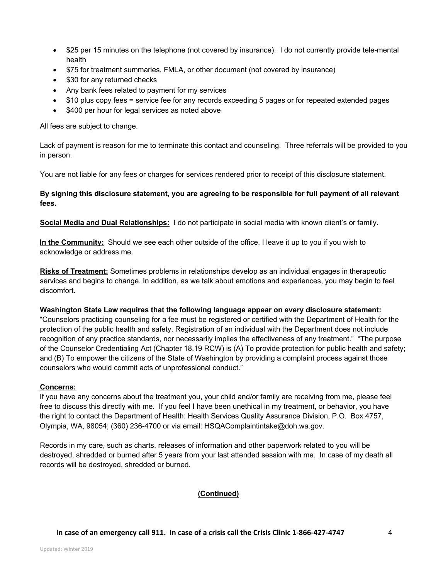- \$25 per 15 minutes on the telephone (not covered by insurance). I do not currently provide tele-mental health
- \$75 for treatment summaries, FMLA, or other document (not covered by insurance)
- \$30 for any returned checks
- Any bank fees related to payment for my services
- \$10 plus copy fees = service fee for any records exceeding 5 pages or for repeated extended pages
- \$400 per hour for legal services as noted above

All fees are subject to change.

Lack of payment is reason for me to terminate this contact and counseling. Three referrals will be provided to you in person.

You are not liable for any fees or charges for services rendered prior to receipt of this disclosure statement.

# **By signing this disclosure statement, you are agreeing to be responsible for full payment of all relevant fees.**

**Social Media and Dual Relationships:** I do not participate in social media with known client's or family.

**In the Community:** Should we see each other outside of the office, I leave it up to you if you wish to acknowledge or address me.

**Risks of Treatment:** Sometimes problems in relationships develop as an individual engages in therapeutic services and begins to change. In addition, as we talk about emotions and experiences, you may begin to feel discomfort.

### **Washington State Law requires that the following language appear on every disclosure statement:**

"Counselors practicing counseling for a fee must be registered or certified with the Department of Health for the protection of the public health and safety. Registration of an individual with the Department does not include recognition of any practice standards, nor necessarily implies the effectiveness of any treatment." "The purpose of the Counselor Credentialing Act (Chapter 18.19 RCW) is (A) To provide protection for public health and safety; and (B) To empower the citizens of the State of Washington by providing a complaint process against those counselors who would commit acts of unprofessional conduct."

### **Concerns:**

If you have any concerns about the treatment you, your child and/or family are receiving from me, please feel free to discuss this directly with me. If you feel I have been unethical in my treatment, or behavior, you have the right to contact the Department of Health: Health Services Quality Assurance Division, P.O. Box 4757, Olympia, WA, 98054; (360) 236-4700 or via email: HSQAComplaintintake@doh.wa.gov.

Records in my care, such as charts, releases of information and other paperwork related to you will be destroyed, shredded or burned after 5 years from your last attended session with me. In case of my death all records will be destroyed, shredded or burned.

### **(Continued)**